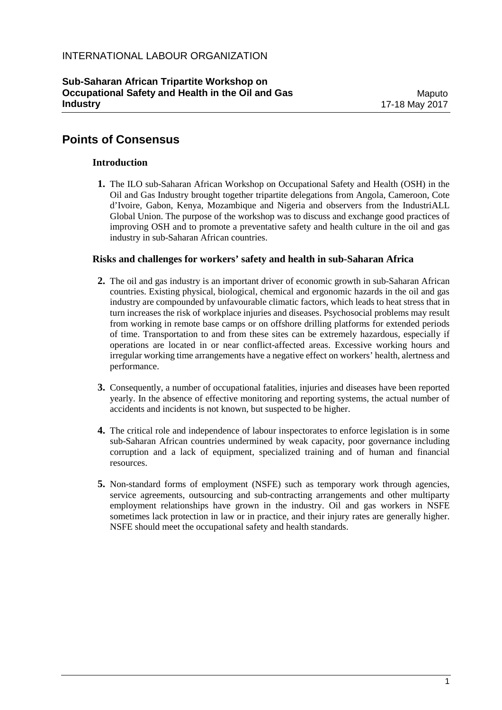# **Points of Consensus**

#### **Introduction**

**1.** The ILO sub-Saharan African Workshop on Occupational Safety and Health (OSH) in the Oil and Gas Industry brought together tripartite delegations from Angola, Cameroon, Cote d'Ivoire, Gabon, Kenya, Mozambique and Nigeria and observers from the IndustriALL Global Union. The purpose of the workshop was to discuss and exchange good practices of improving OSH and to promote a preventative safety and health culture in the oil and gas industry in sub-Saharan African countries.

### **Risks and challenges for workers' safety and health in sub-Saharan Africa**

- **2.** The oil and gas industry is an important driver of economic growth in sub-Saharan African countries. Existing physical, biological, chemical and ergonomic hazards in the oil and gas industry are compounded by unfavourable climatic factors, which leads to heat stress that in turn increases the risk of workplace injuries and diseases. Psychosocial problems may result from working in remote base camps or on offshore drilling platforms for extended periods of time. Transportation to and from these sites can be extremely hazardous, especially if operations are located in or near conflict-affected areas. Excessive working hours and irregular working time arrangements have a negative effect on workers' health, alertness and performance.
- **3.** Consequently, a number of occupational fatalities, injuries and diseases have been reported yearly. In the absence of effective monitoring and reporting systems, the actual number of accidents and incidents is not known, but suspected to be higher.
- **4.** The critical role and independence of labour inspectorates to enforce legislation is in some sub-Saharan African countries undermined by weak capacity, poor governance including corruption and a lack of equipment, specialized training and of human and financial resources.
- **5.** Non-standard forms of employment (NSFE) such as temporary work through agencies, service agreements, outsourcing and sub-contracting arrangements and other multiparty employment relationships have grown in the industry. Oil and gas workers in NSFE sometimes lack protection in law or in practice, and their injury rates are generally higher. NSFE should meet the occupational safety and health standards.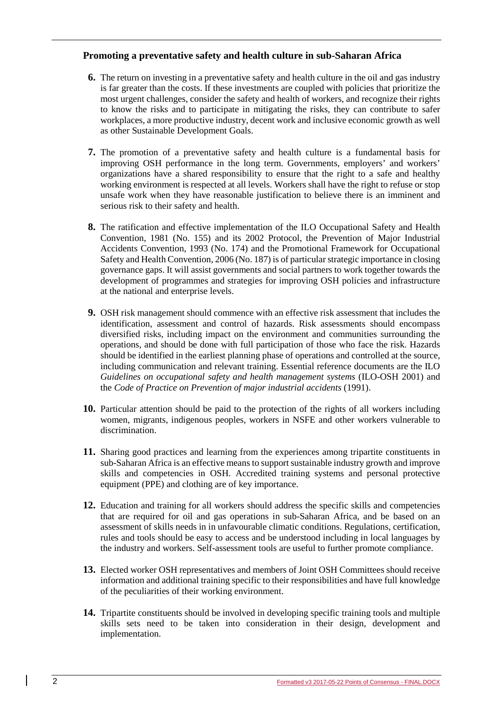### **Promoting a preventative safety and health culture in sub-Saharan Africa**

- **6.** The return on investing in a preventative safety and health culture in the oil and gas industry is far greater than the costs. If these investments are coupled with policies that prioritize the most urgent challenges, consider the safety and health of workers, and recognize their rights to know the risks and to participate in mitigating the risks, they can contribute to safer workplaces, a more productive industry, decent work and inclusive economic growth as well as other Sustainable Development Goals.
- **7.** The promotion of a preventative safety and health culture is a fundamental basis for improving OSH performance in the long term. Governments, employers' and workers' organizations have a shared responsibility to ensure that the right to a safe and healthy working environment is respected at all levels. Workers shall have the right to refuse or stop unsafe work when they have reasonable justification to believe there is an imminent and serious risk to their safety and health.
- **8.** The ratification and effective implementation of the ILO Occupational Safety and Health Convention, 1981 (No. 155) and its 2002 Protocol, the Prevention of Major Industrial Accidents Convention, 1993 (No. 174) and the Promotional Framework for Occupational Safety and Health Convention, 2006 (No. 187) is of particular strategic importance in closing governance gaps. It will assist governments and social partners to work together towards the development of programmes and strategies for improving OSH policies and infrastructure at the national and enterprise levels.
- **9.** OSH risk management should commence with an effective risk assessment that includes the identification, assessment and control of hazards. Risk assessments should encompass diversified risks, including impact on the environment and communities surrounding the operations, and should be done with full participation of those who face the risk. Hazards should be identified in the earliest planning phase of operations and controlled at the source, including communication and relevant training. Essential reference documents are the ILO *Guidelines on occupational safety and health management systems* (ILO-OSH 2001) and the *Code of Practice on Prevention of major industrial accidents* (1991).
- **10.** Particular attention should be paid to the protection of the rights of all workers including women, migrants, indigenous peoples, workers in NSFE and other workers vulnerable to discrimination.
- **11.** Sharing good practices and learning from the experiences among tripartite constituents in sub-Saharan Africa is an effective means to support sustainable industry growth and improve skills and competencies in OSH. Accredited training systems and personal protective equipment (PPE) and clothing are of key importance.
- **12.** Education and training for all workers should address the specific skills and competencies that are required for oil and gas operations in sub-Saharan Africa, and be based on an assessment of skills needs in in unfavourable climatic conditions. Regulations, certification, rules and tools should be easy to access and be understood including in local languages by the industry and workers. Self-assessment tools are useful to further promote compliance.
- **13.** Elected worker OSH representatives and members of Joint OSH Committees should receive information and additional training specific to their responsibilities and have full knowledge of the peculiarities of their working environment.
- **14.** Tripartite constituents should be involved in developing specific training tools and multiple skills sets need to be taken into consideration in their design, development and implementation.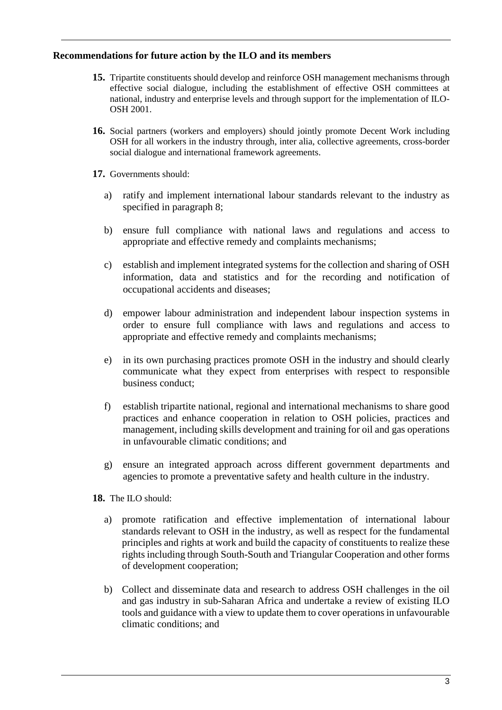## **Recommendations for future action by the ILO and its members**

- **15.** Tripartite constituents should develop and reinforce OSH management mechanisms through effective social dialogue, including the establishment of effective OSH committees at national, industry and enterprise levels and through support for the implementation of ILO-OSH 2001.
- **16.** Social partners (workers and employers) should jointly promote Decent Work including OSH for all workers in the industry through, inter alia, collective agreements, cross-border social dialogue and international framework agreements.
- **17.** Governments should:
	- a) ratify and implement international labour standards relevant to the industry as specified in paragraph 8;
	- b) ensure full compliance with national laws and regulations and access to appropriate and effective remedy and complaints mechanisms;
	- c) establish and implement integrated systems for the collection and sharing of OSH information, data and statistics and for the recording and notification of occupational accidents and diseases;
	- d) empower labour administration and independent labour inspection systems in order to ensure full compliance with laws and regulations and access to appropriate and effective remedy and complaints mechanisms;
	- e) in its own purchasing practices promote OSH in the industry and should clearly communicate what they expect from enterprises with respect to responsible business conduct;
	- f) establish tripartite national, regional and international mechanisms to share good practices and enhance cooperation in relation to OSH policies, practices and management, including skills development and training for oil and gas operations in unfavourable climatic conditions; and
	- g) ensure an integrated approach across different government departments and agencies to promote a preventative safety and health culture in the industry.
- **18.** The ILO should:
	- a) promote ratification and effective implementation of international labour standards relevant to OSH in the industry, as well as respect for the fundamental principles and rights at work and build the capacity of constituents to realize these rights including through South-South and Triangular Cooperation and other forms of development cooperation;
	- b) Collect and disseminate data and research to address OSH challenges in the oil and gas industry in sub-Saharan Africa and undertake a review of existing ILO tools and guidance with a view to update them to cover operations in unfavourable climatic conditions; and